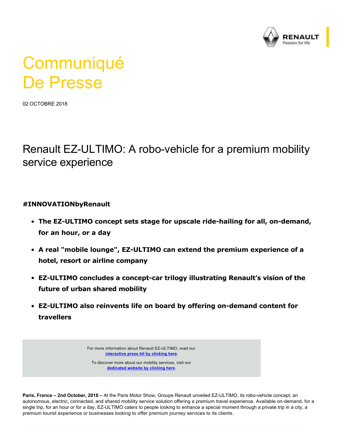

# **Communiqué** De Presse

02 OCTOBRE 2018

## Renault EZ-ULTIMO: A robo-vehicle for a premium mobility service experience

#### **#INNOVATIONbyRenault**

- **The EZ-ULTIMO concept sets stage for upscale ride-hailing for all, on-demand, for an hour, or a day**
- A real "mobile lounge", EZ-ULTIMO can extend the premium experience of a **hotel, resort or airline company**
- **EZ-ULTIMO concludes a concept-car trilogy illustrating Renault's vision of the future of urban shared mobility**
- **EZ-ULTIMO also reinvents life on board by offering on-demand content for travellers**

For more information about Renault EZ-ULTIMO, read our **[interactive press kit by clicking here](http://fr.zone-secure.net/-/Groupe_Renault/Dossier_Presse_EZ_ULTIMO_EN/-/)**.

To discover more about our mobility services, visit our **[dedicated website by clicking here](http://sharedmobility.group.renault.com/en/)**.

**Paris, France – 2nd October, 2018 –** At the Paris Motor Show, Groupe Renault unveiled EZ-ULTIMO, its robo-vehicle concept, an autonomous, electric, connected, and shared mobility service solution offering a premium travel experience. Available on-demand, for a single trip, for an hour or for a day, EZ-ULTIMO caters to people looking to enhance a special moment through a private trip in a city, a premium tourist experience or businesses looking to offer premium journey services to its clients.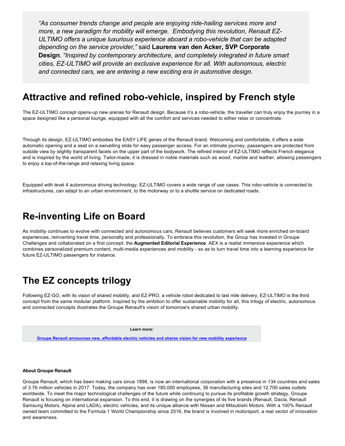*"As consumer trends change and people are enjoying ridehailing services more and more, a new paradigm for mobility will emerge. Embodying this revolution, Renault EZ-ULTIMO offers a unique luxurious experience aboard a robovehicle that can be adapted depending on the service provider,"* said **Laurens van den Acker, SVP Corporate Design**. *"Inspired by contemporary architecture, and completely integrated in future smart cities, EZULTIMO will provide an exclusive experience for all. With autonomous, electric and connected cars, we are entering a new exciting era in automotive design.*

#### Attractive and refined robo-vehicle, inspired by French style

The EZ-ULTIMO concept opens-up new arenas for Renault design. Because it's a robo-vehicle, the traveller can truly enjoy the journey in a space designed like a personal lounge, equipped with all the comfort and services needed to either relax or concentrate.

Through its design, EZ-ULTIMO embodies the EASY LIFE genes of the Renault brand. Welcoming and comfortable, it offers a wide automatic opening and a seat on a swivelling slide for easy passenger access. For an intimate journey, passengers are protected from outside view by slightly transparent facets on the upper part of the bodywork. The refined interior of EZ-ULTIMO reflects French elegance and is inspired by the world of living. Tailor-made, it is dressed in noble materials such as wood, marble and leather, allowing passengers to enjoy a top-of-the-range and relaxing living space.

Equipped with level 4 autonomous driving technology, EZ-ULTIMO covers a wide range of use cases. This robo-vehicle is connected to infrastructures, can adapt to an urban environment, to the motorway or to a shuttle service on dedicated roads.

#### **Reinventing Life on Board**

As mobility continues to evolve with connected and autonomous cars, Renault believes customers will seek more enriched on-board experiences, reinventing travel time, personally and professionally. To embrace this revolution, the Group has invested in Groupe Challenges and collaborated on a first concept: the **Augmented Editorial Experience**. AEX is a realist immersive experience which combines personalized premium content, multi-media experiences and mobility - so as to turn travel time into a learning experience for future EZ-ULTIMO passengers for instance.

### **The EZ concepts trilogy**

Following EZ-GO, with its vision of shared mobility, and EZ-PRO, a vehicle robot dedicated to last mile delivery, EZ-ULTIMO is the third concept from the same modular platform. Inspired by the ambition to offer sustainable mobility for all, this trilogy of electric, autonomous and connected concepts illustrates the Groupe Renault's vision of tomorrow's shared urban mobility.

**Learn more:**

**[Groupe Renault announces new, affordable electric vehicles and shares vision for new mobility experience](https://media.group.renault.com/global/en-gb/groupe-renault/media/pressreleases/21216622/le-groupe-renault-annonce-de-nouveaux-vehicules-electriques-abordables-et-partage-sa-vision-des-nouv)**

#### **About Groupe Renault**

Groupe Renault, which has been making cars since 1898, is now an international corporation with a presence in 134 countries and sales of 3.76 million vehicles in 2017. Today, the company has over 180,000 employees, 36 manufacturing sites and 12,700 sales outlets worldwide. To meet the major technological challenges of the future while continuing to pursue its profitable growth strategy, Groupe Renault is focusing on international expansion. To this end, it is drawing on the synergies of its five brands (Renault, Dacia, Renault Samsung Motors, Alpine and LADA), electric vehicles, and its unique alliance with Nissan and Mitsubishi Motors. With a 100% Renault owned team committed to the Formula 1 World Championship since 2016, the brand is involved in motorsport, a real vector of innovation and awareness.